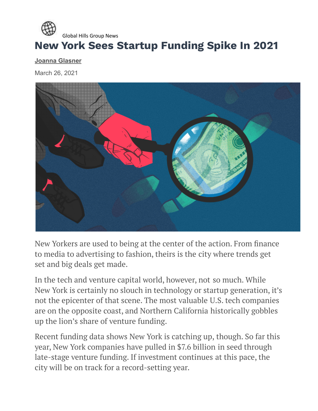

## **New York Sees Startup Funding Spike In 2021**

**[Joanna Glasner](https://news.crunchbase.com/news/author/joanna/)**

March 26, 2021



New Yorkers are used to being at the center of the action. From finance to media to advertising to fashion, theirs is the city where trends get set and big deals get made.

In the tech and venture capital world, however, not so much. While New York is certainly no slouch in technology or startup generation, it's not the epicenter of that scene. The most valuable U.S. tech companies are on the opposite coast, and Northern California historically gobbles up the lion's share of venture funding.

Recent funding data shows New York is catching up, though. So far this year, New York companies have pulled in \$7.6 billion in seed through late-stage venture funding. If investment continues at this pace, the city will be on track for a record-setting year.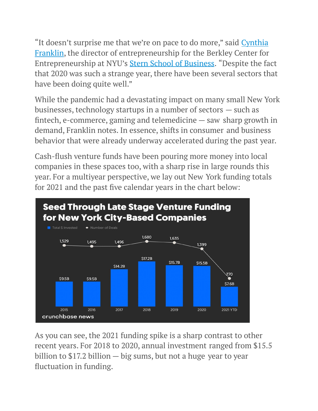"It doesn't surprise me that we're on pace to do more," said [Cynthia](https://www.stern.nyu.edu/faculty/bio/cynthia-franklin) [Franklin](https://www.stern.nyu.edu/faculty/bio/cynthia-franklin), the director of entrepreneurship for the Berkley Center for Entrepreneurship at NYU's Stern School of [Business](https://www.crunchbase.com/organization/new-york-university-stern-school-of-business). "Despite the fact that 2020 was such a strange year, there have been several sectors that have been doing quite well."

While the pandemic had a devastating impact on many small New York businesses, technology startups in a number of sectors — such as fintech, e-commerce, gaming and telemedicine — saw sharp growth in demand, Franklin notes. In essence, shifts in consumer and business behavior that were already underway accelerated during the past year.

Cash-flush venture funds have been pouring more money into local companies in these spaces too, with a sharp rise in large rounds this year. For a multiyear perspective, we lay out New York funding totals for 2021 and the past five calendar years in the chart below:



As you can see, the 2021 funding spike is a sharp contrast to other recent years. For 2018 to 2020, annual investment ranged from \$15.5 billion to \$17.2 billion — big sums, but not a huge year to year fluctuation in funding.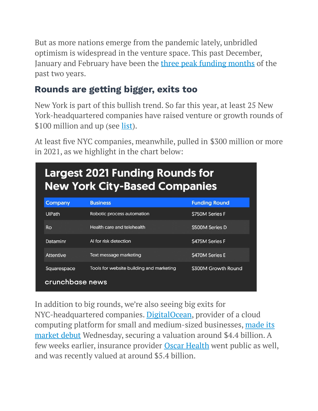But as more nations emerge from the pandemic lately, unbridled optimism is widespread in the venture space. This past December, January and February have been the three peak [funding](https://news.crunchbase.com/news/february-2021-vc-funding-recap/) months of the past two years.

## **Rounds are getting bigger, exits too**

New York is part of this bullish trend. So far this year, at least 25 New York-headquartered companies have raised venture or growth rounds of \$100 million and up (see [list](https://www.crunchbase.com/lists/nyc-100-m-2021/ce4bcee9-701d-4c2a-aa2d-676844bed574/funding_rounds)).

At least five NYC companies, meanwhile, pulled in \$300 million or more in 2021, as we highlight in the chart below:

| <b>Largest 2021 Funding Rounds for</b><br><b>New York City-Based Companies</b> |                                          |                       |
|--------------------------------------------------------------------------------|------------------------------------------|-----------------------|
| <b>Company</b>                                                                 | <b>Business</b>                          | <b>Funding Round</b>  |
| <b>UiPath</b>                                                                  | Robotic process automation               | <b>S750M Series F</b> |
| <b>Ro</b>                                                                      | Health care and telehealth               | <b>S500M Series D</b> |
| Dataminr                                                                       | Al for risk detection                    | <b>S475M Series F</b> |
| <b>Attentive</b>                                                               | Text message marketing                   | <b>S470M Series E</b> |
| Squarespace                                                                    | Tools for website building and marketing | \$300M Growth Round   |
| crunchbase news                                                                |                                          |                       |

In addition to big rounds, we're also seeing big exits for NYC-headquartered companies. [DigitalOcean](https://www.crunchbase.com/organization/digitalocean), provider of a cloud computing platform for small and medium-sized businesses, [made](https://news.crunchbase.com/news/digitalocean-stock-opens-below-ipo-price-on-first-day-of-trading/) its [market](https://news.crunchbase.com/news/digitalocean-stock-opens-below-ipo-price-on-first-day-of-trading/) debut Wednesday, securing a valuation around \$4.4 billion. A few weeks earlier, insurance provider Oscar [Health](https://www.crunchbase.com/organization/oscar) went public as well, and was recently valued at around \$5.4 billion.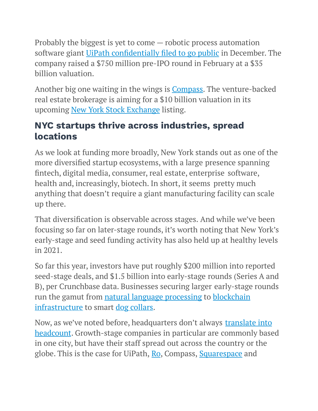Probably the biggest is yet to come — robotic process automation software giant [UiPath](https://www.crunchbase.com/organization/uipath) [confidentially](https://www.uipath.com/newsroom/confidential-submission-proposed-public-offering) filed to go public in December. The company raised a \$750 million pre-IPO round in February at a \$35 billion valuation.

Another big one waiting in the wings is [Compass.](https://www.crunchbase.com/organization/compassinc) The venture-backed real estate brokerage is aiming for a \$10 billion valuation in its upcoming New York Stock [Exchange](https://www.crunchbase.com/organization/new-york-stock-exchange) listing.

## **NYC startups thrive across industries, spread locations**

As we look at funding more broadly, New York stands out as one of the more diversified startup ecosystems, with a large presence spanning fintech, digital media, consumer, real estate, enterprise software, health and, increasingly, biotech. In short, it seems pretty much anything that doesn't require a giant manufacturing facility can scale up there.

That diversification is observable across stages. And while we've been focusing so far on later-stage rounds, it's worth noting that New York's early-stage and seed funding activity has also held up at healthy levels in 2021.

So far this year, investors have put roughly \$200 million into reported seed-stage deals, and \$1.5 billion into early-stage rounds (Series A and B), per Crunchbase data. Businesses securing larger early-stage rounds run the gamut from natural language [processing](https://www.crunchbase.com/organization/hugging-face) to [blockchain](https://www.crunchbase.com/organization/axoni) [infrastructure](https://www.crunchbase.com/organization/axoni) to smart dog [collars.](https://www.crunchbase.com/organization/barking-labs)

Now, as we've noted before, headquarters don't always [translate](https://news.crunchbase.com/news/some-reassuring-data-for-those-worried-unicorns-are-wrecking-the-bay-area/) into [headcount](https://news.crunchbase.com/news/some-reassuring-data-for-those-worried-unicorns-are-wrecking-the-bay-area/). Growth-stage companies in particular are commonly based in one city, but have their staff spread out across the country or the globe. This is the case for UiPath, [Ro](https://www.crunchbase.com/organization/roman-2), Compass, [Squarespace](https://www.crunchbase.com/organization/squarespace) and